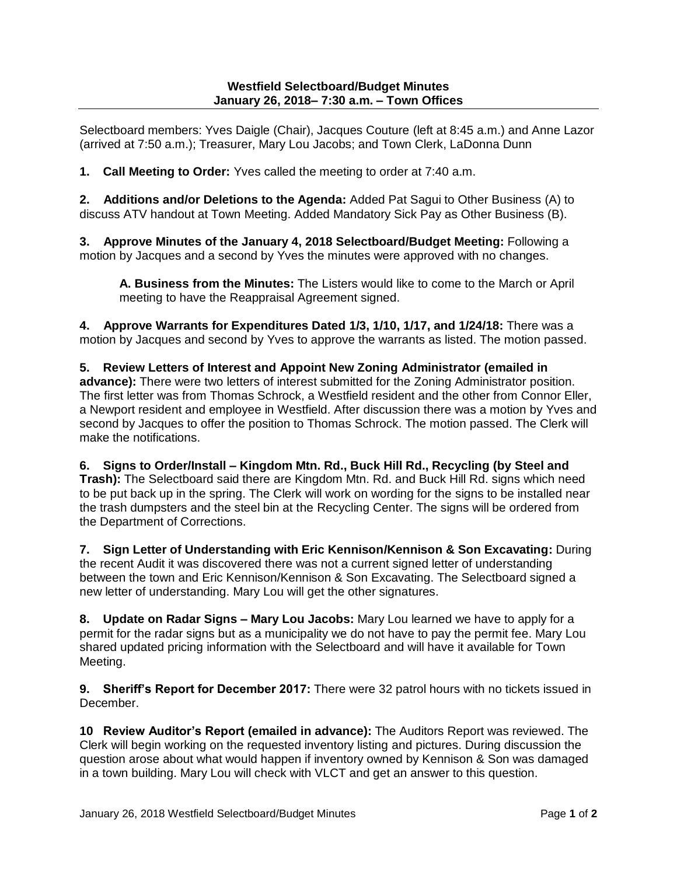Selectboard members: Yves Daigle (Chair), Jacques Couture (left at 8:45 a.m.) and Anne Lazor (arrived at 7:50 a.m.); Treasurer, Mary Lou Jacobs; and Town Clerk, LaDonna Dunn

**1. Call Meeting to Order:** Yves called the meeting to order at 7:40 a.m.

**2. Additions and/or Deletions to the Agenda:** Added Pat Sagui to Other Business (A) to discuss ATV handout at Town Meeting. Added Mandatory Sick Pay as Other Business (B).

**3. Approve Minutes of the January 4, 2018 Selectboard/Budget Meeting:** Following a motion by Jacques and a second by Yves the minutes were approved with no changes.

**A. Business from the Minutes:** The Listers would like to come to the March or April meeting to have the Reappraisal Agreement signed.

**4. Approve Warrants for Expenditures Dated 1/3, 1/10, 1/17, and 1/24/18:** There was a motion by Jacques and second by Yves to approve the warrants as listed. The motion passed.

**5. Review Letters of Interest and Appoint New Zoning Administrator (emailed in advance):** There were two letters of interest submitted for the Zoning Administrator position. The first letter was from Thomas Schrock, a Westfield resident and the other from Connor Eller, a Newport resident and employee in Westfield. After discussion there was a motion by Yves and second by Jacques to offer the position to Thomas Schrock. The motion passed. The Clerk will make the notifications.

**6. Signs to Order/Install – Kingdom Mtn. Rd., Buck Hill Rd., Recycling (by Steel and Trash):** The Selectboard said there are Kingdom Mtn. Rd. and Buck Hill Rd. signs which need to be put back up in the spring. The Clerk will work on wording for the signs to be installed near the trash dumpsters and the steel bin at the Recycling Center. The signs will be ordered from the Department of Corrections.

**7. Sign Letter of Understanding with Eric Kennison/Kennison & Son Excavating:** During the recent Audit it was discovered there was not a current signed letter of understanding between the town and Eric Kennison/Kennison & Son Excavating. The Selectboard signed a new letter of understanding. Mary Lou will get the other signatures.

**8. Update on Radar Signs – Mary Lou Jacobs:** Mary Lou learned we have to apply for a permit for the radar signs but as a municipality we do not have to pay the permit fee. Mary Lou shared updated pricing information with the Selectboard and will have it available for Town Meeting.

**9. Sheriff's Report for December 2017:** There were 32 patrol hours with no tickets issued in December.

**10 Review Auditor's Report (emailed in advance):** The Auditors Report was reviewed. The Clerk will begin working on the requested inventory listing and pictures. During discussion the question arose about what would happen if inventory owned by Kennison & Son was damaged in a town building. Mary Lou will check with VLCT and get an answer to this question.